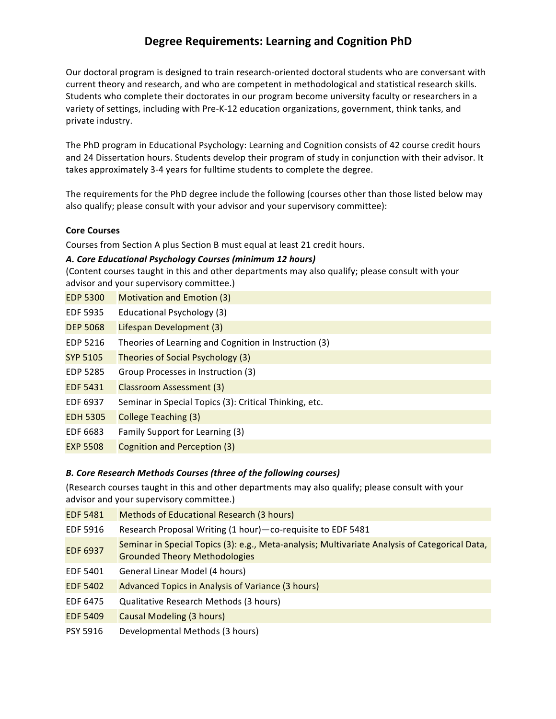# **Degree Requirements: Learning and Cognition PhD**

Our doctoral program is designed to train research-oriented doctoral students who are conversant with current theory and research, and who are competent in methodological and statistical research skills. Students who complete their doctorates in our program become university faculty or researchers in a variety of settings, including with Pre-K-12 education organizations, government, think tanks, and private industry.

The PhD program in Educational Psychology: Learning and Cognition consists of 42 course credit hours and 24 Dissertation hours. Students develop their program of study in conjunction with their advisor. It takes approximately 3-4 years for fulltime students to complete the degree.

The requirements for the PhD degree include the following (courses other than those listed below may also qualify; please consult with your advisor and your supervisory committee):

#### **Core Courses**

Courses from Section A plus Section B must equal at least 21 credit hours.

#### *A. Core Educational Psychology Courses (minimum 12 hours)*

(Content courses taught in this and other departments may also qualify; please consult with your advisor and your supervisory committee.)

- EDP 5300 Motivation and Emotion (3)
- EDF 5935 Educational Psychology (3)
- DEP 5068 Lifespan Development (3)
- EDP 5216 Theories of Learning and Cognition in Instruction (3)
- SYP 5105 Theories of Social Psychology (3)
- EDP 5285 Group Processes in Instruction (3)
- EDF 5431 Classroom Assessment (3)
- EDF 6937 Seminar in Special Topics (3): Critical Thinking, etc.
- EDH 5305 College Teaching (3)
- EDF 6683 Family Support for Learning (3)
- EXP 5508 Cognition and Perception (3)

## *B. Core Research Methods Courses (three of the following courses)*

(Research courses taught in this and other departments may also qualify; please consult with your advisor and your supervisory committee.)

| <b>EDF 5481</b> | Methods of Educational Research (3 hours)                                                                                              |
|-----------------|----------------------------------------------------------------------------------------------------------------------------------------|
| EDF 5916        | Research Proposal Writing (1 hour) - co-requisite to EDF 5481                                                                          |
| <b>EDF 6937</b> | Seminar in Special Topics (3): e.g., Meta-analysis; Multivariate Analysis of Categorical Data,<br><b>Grounded Theory Methodologies</b> |
| EDF 5401        | General Linear Model (4 hours)                                                                                                         |
| <b>EDF 5402</b> | Advanced Topics in Analysis of Variance (3 hours)                                                                                      |
| EDF 6475        | Qualitative Research Methods (3 hours)                                                                                                 |
| <b>EDF 5409</b> | Causal Modeling (3 hours)                                                                                                              |
| <b>PSY 5916</b> | Developmental Methods (3 hours)                                                                                                        |